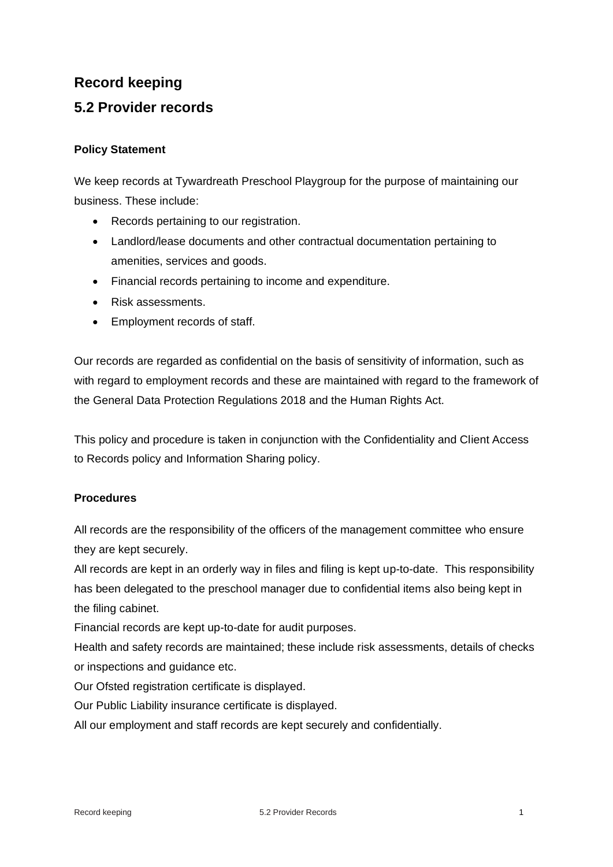## **Record keeping 5.2 Provider records**

## **Policy Statement**

We keep records at Tywardreath Preschool Playgroup for the purpose of maintaining our business. These include:

- Records pertaining to our registration.
- Landlord/lease documents and other contractual documentation pertaining to amenities, services and goods.
- Financial records pertaining to income and expenditure.
- Risk assessments.
- Employment records of staff.

Our records are regarded as confidential on the basis of sensitivity of information, such as with regard to employment records and these are maintained with regard to the framework of the General Data Protection Regulations 2018 and the Human Rights Act.

This policy and procedure is taken in conjunction with the Confidentiality and Client Access to Records policy and Information Sharing policy.

## **Procedures**

All records are the responsibility of the officers of the management committee who ensure they are kept securely.

All records are kept in an orderly way in files and filing is kept up-to-date. This responsibility has been delegated to the preschool manager due to confidential items also being kept in the filing cabinet.

Financial records are kept up-to-date for audit purposes.

Health and safety records are maintained; these include risk assessments, details of checks or inspections and guidance etc.

Our Ofsted registration certificate is displayed.

Our Public Liability insurance certificate is displayed.

All our employment and staff records are kept securely and confidentially.